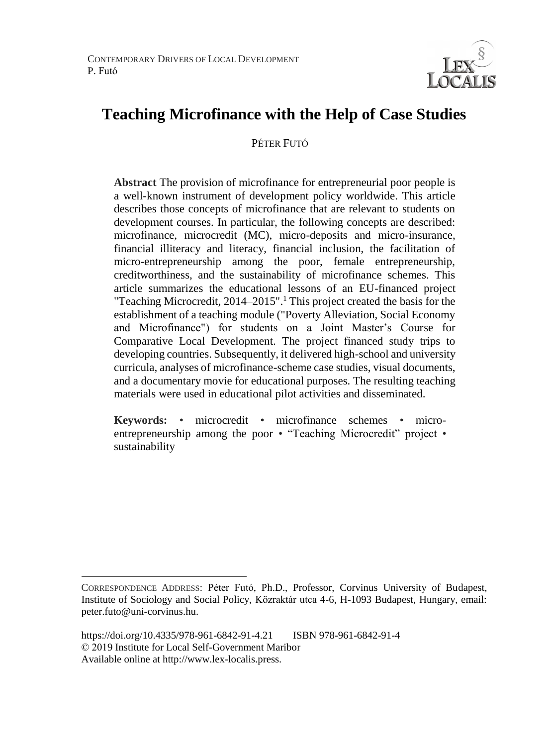

# **Teaching Microfinance with the Help of Case Studies**

### PÉTER FUTÓ

**Abstract** The provision of microfinance for entrepreneurial poor people is a well-known instrument of development policy worldwide. This article describes those concepts of microfinance that are relevant to students on development courses. In particular, the following concepts are described: microfinance, microcredit (MC), micro-deposits and micro-insurance, financial illiteracy and literacy, financial inclusion, the facilitation of micro-entrepreneurship among the poor, female entrepreneurship, creditworthiness, and the sustainability of microfinance schemes. This article summarizes the educational lessons of an EU-financed project "Teaching Microcredit, 2014–2015".<sup>1</sup> This project created the basis for the establishment of a teaching module ("Poverty Alleviation, Social Economy and Microfinance") for students on a Joint Master's Course for Comparative Local Development. The project financed study trips to developing countries. Subsequently, it delivered high-school and university curricula, analyses of microfinance-scheme case studies, visual documents, and a documentary movie for educational purposes. The resulting teaching materials were used in educational pilot activities and disseminated.

**Keywords:** • microcredit • microfinance schemes • microentrepreneurship among the poor • "Teaching Microcredit" project • sustainability

 $\overline{a}$ 

CORRESPONDENCE ADDRESS: Péter Futó, Ph.D., Professor, Corvinus University of Budapest, Institute of Sociology and Social Policy, Közraktár utca 4-6, H-1093 Budapest, Hungary, email: peter.futo@uni-corvinus.hu.

https://doi.org/10.4335/978-961-6842-91-4.21 ISBN 978-961-6842-91-4 © 2019 Institute for Local Self-Government Maribor Available online at http://www.lex-localis.press.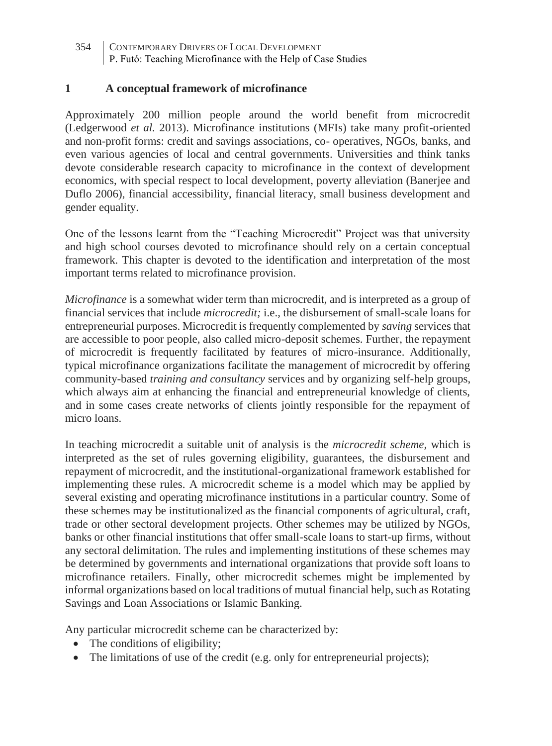354 CONTEMPORARY DRIVERS OF LOCAL DEVELOPMENT P. Futó: Teaching Microfinance with the Help of Case Studies

### **1 A conceptual framework of microfinance**

Approximately 200 million people around the world benefit from microcredit (Ledgerwood *et al.* 2013). Microfinance institutions (MFIs) take many profit-oriented and non-profit forms: credit and savings associations, co- operatives, NGOs, banks, and even various agencies of local and central governments. Universities and think tanks devote considerable research capacity to microfinance in the context of development economics, with special respect to local development, poverty alleviation (Banerjee and Duflo 2006), financial accessibility, financial literacy, small business development and gender equality.

One of the lessons learnt from the "Teaching Microcredit" Project was that university and high school courses devoted to microfinance should rely on a certain conceptual framework. This chapter is devoted to the identification and interpretation of the most important terms related to microfinance provision.

*Microfinance* is a somewhat wider term than microcredit, and is interpreted as a group of financial services that include *microcredit;* i.e., the disbursement of small-scale loans for entrepreneurial purposes. Microcredit is frequently complemented by *saving* services that are accessible to poor people, also called micro-deposit schemes. Further, the repayment of microcredit is frequently facilitated by features of micro-insurance. Additionally, typical microfinance organizations facilitate the management of microcredit by offering community-based *training and consultancy* services and by organizing self-help groups, which always aim at enhancing the financial and entrepreneurial knowledge of clients, and in some cases create networks of clients jointly responsible for the repayment of micro loans.

In teaching microcredit a suitable unit of analysis is the *microcredit scheme,* which is interpreted as the set of rules governing eligibility, guarantees, the disbursement and repayment of microcredit, and the institutional-organizational framework established for implementing these rules. A microcredit scheme is a model which may be applied by several existing and operating microfinance institutions in a particular country. Some of these schemes may be institutionalized as the financial components of agricultural, craft, trade or other sectoral development projects. Other schemes may be utilized by NGOs, banks or other financial institutions that offer small-scale loans to start-up firms, without any sectoral delimitation. The rules and implementing institutions of these schemes may be determined by governments and international organizations that provide soft loans to microfinance retailers. Finally, other microcredit schemes might be implemented by informal organizations based on local traditions of mutual financial help, such as Rotating Savings and Loan Associations or Islamic Banking.

Any particular microcredit scheme can be characterized by:

- The conditions of eligibility;
- The limitations of use of the credit (e.g. only for entrepreneurial projects);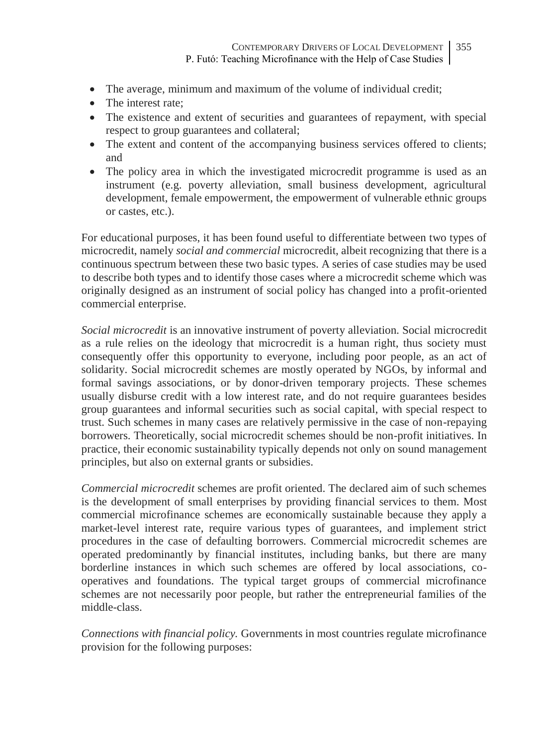- The average, minimum and maximum of the volume of individual credit;
- The interest rate:
- The existence and extent of securities and guarantees of repayment, with special respect to group guarantees and collateral;
- The extent and content of the accompanying business services offered to clients; and
- The policy area in which the investigated microcredit programme is used as an instrument (e.g. poverty alleviation, small business development, agricultural development, female empowerment, the empowerment of vulnerable ethnic groups or castes, etc.).

For educational purposes, it has been found useful to differentiate between two types of microcredit, namely *social and commercial* microcredit, albeit recognizing that there is a continuous spectrum between these two basic types. A series of case studies may be used to describe both types and to identify those cases where a microcredit scheme which was originally designed as an instrument of social policy has changed into a profit-oriented commercial enterprise.

*Social microcredit* is an innovative instrument of poverty alleviation. Social microcredit as a rule relies on the ideology that microcredit is a human right, thus society must consequently offer this opportunity to everyone, including poor people, as an act of solidarity. Social microcredit schemes are mostly operated by NGOs, by informal and formal savings associations, or by donor-driven temporary projects. These schemes usually disburse credit with a low interest rate, and do not require guarantees besides group guarantees and informal securities such as social capital, with special respect to trust. Such schemes in many cases are relatively permissive in the case of non-repaying borrowers. Theoretically, social microcredit schemes should be non-profit initiatives. In practice, their economic sustainability typically depends not only on sound management principles, but also on external grants or subsidies.

*Commercial microcredit* schemes are profit oriented. The declared aim of such schemes is the development of small enterprises by providing financial services to them. Most commercial microfinance schemes are economically sustainable because they apply a market-level interest rate, require various types of guarantees, and implement strict procedures in the case of defaulting borrowers. Commercial microcredit schemes are operated predominantly by financial institutes, including banks, but there are many borderline instances in which such schemes are offered by local associations, cooperatives and foundations. The typical target groups of commercial microfinance schemes are not necessarily poor people, but rather the entrepreneurial families of the middle-class.

*Connections with financial policy.* Governments in most countries regulate microfinance provision for the following purposes: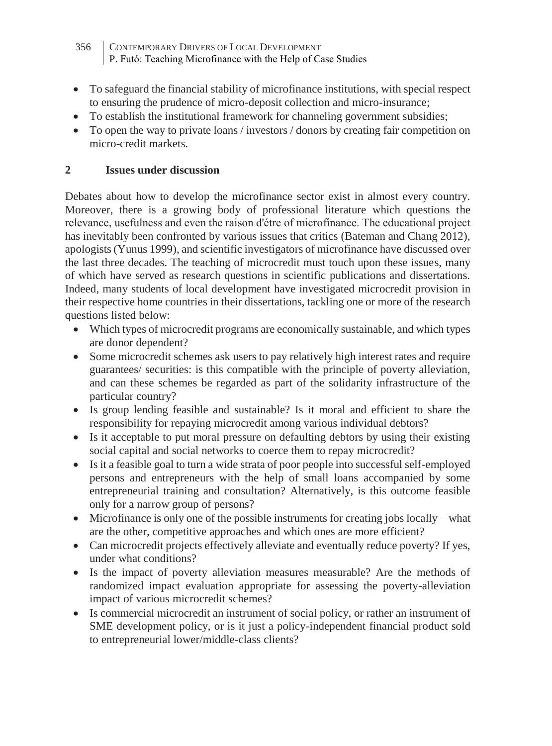- 356 CONTEMPORARY DRIVERS OF LOCAL DEVELOPMENT P. Futó: Teaching Microfinance with the Help of Case Studies
- To safeguard the financial stability of microfinance institutions, with special respect to ensuring the prudence of micro-deposit collection and micro-insurance;
- To establish the institutional framework for channeling government subsidies;
- To open the way to private loans / investors / donors by creating fair competition on micro-credit markets.

## **2 Issues under discussion**

Debates about how to develop the microfinance sector exist in almost every country. Moreover, there is a growing body of professional literature which questions the relevance, usefulness and even the raison d'étre of microfinance. The educational project has inevitably been confronted by various issues that critics (Bateman and Chang 2012), apologists (Yunus 1999), and scientific investigators of microfinance have discussed over the last three decades. The teaching of microcredit must touch upon these issues, many of which have served as research questions in scientific publications and dissertations. Indeed, many students of local development have investigated microcredit provision in their respective home countries in their dissertations, tackling one or more of the research questions listed below:

- Which types of microcredit programs are economically sustainable, and which types are donor dependent?
- Some microcredit schemes ask users to pay relatively high interest rates and require guarantees/ securities: is this compatible with the principle of poverty alleviation, and can these schemes be regarded as part of the solidarity infrastructure of the particular country?
- Is group lending feasible and sustainable? Is it moral and efficient to share the responsibility for repaying microcredit among various individual debtors?
- Is it acceptable to put moral pressure on defaulting debtors by using their existing social capital and social networks to coerce them to repay microcredit?
- Is it a feasible goal to turn a wide strata of poor people into successful self-employed persons and entrepreneurs with the help of small loans accompanied by some entrepreneurial training and consultation? Alternatively, is this outcome feasible only for a narrow group of persons?
- Microfinance is only one of the possible instruments for creating jobs locally what are the other, competitive approaches and which ones are more efficient?
- Can microcredit projects effectively alleviate and eventually reduce poverty? If yes, under what conditions?
- Is the impact of poverty alleviation measures measurable? Are the methods of randomized impact evaluation appropriate for assessing the poverty-alleviation impact of various microcredit schemes?
- Is commercial microcredit an instrument of social policy, or rather an instrument of SME development policy, or is it just a policy-independent financial product sold to entrepreneurial lower/middle-class clients?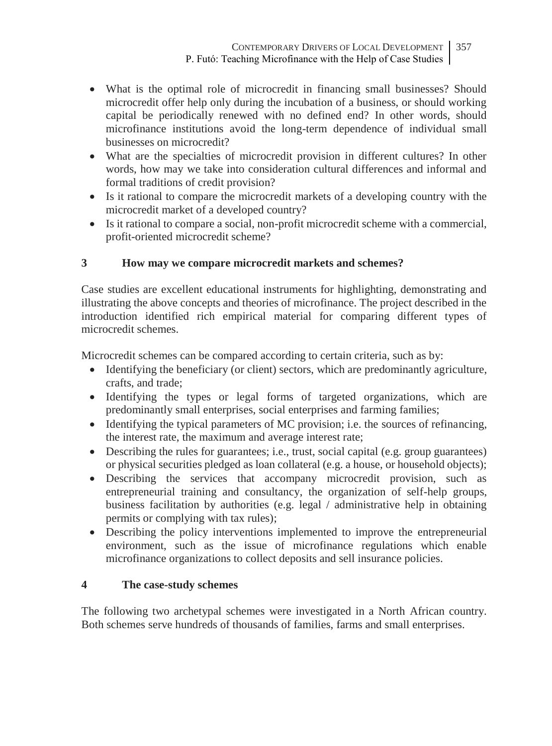- What is the optimal role of microcredit in financing small businesses? Should microcredit offer help only during the incubation of a business, or should working capital be periodically renewed with no defined end? In other words, should microfinance institutions avoid the long-term dependence of individual small businesses on microcredit?
- What are the specialties of microcredit provision in different cultures? In other words, how may we take into consideration cultural differences and informal and formal traditions of credit provision?
- Is it rational to compare the microcredit markets of a developing country with the microcredit market of a developed country?
- Is it rational to compare a social, non-profit microcredit scheme with a commercial, profit-oriented microcredit scheme?

# **3 How may we compare microcredit markets and schemes?**

Case studies are excellent educational instruments for highlighting, demonstrating and illustrating the above concepts and theories of microfinance. The project described in the introduction identified rich empirical material for comparing different types of microcredit schemes.

Microcredit schemes can be compared according to certain criteria, such as by:

- Identifying the beneficiary (or client) sectors, which are predominantly agriculture, crafts, and trade;
- Identifying the types or legal forms of targeted organizations, which are predominantly small enterprises, social enterprises and farming families;
- Identifying the typical parameters of MC provision; i.e. the sources of refinancing, the interest rate, the maximum and average interest rate;
- Describing the rules for guarantees; i.e., trust, social capital (e.g. group guarantees) or physical securities pledged as loan collateral (e.g. a house, or household objects);
- Describing the services that accompany microcredit provision, such as entrepreneurial training and consultancy, the organization of self-help groups, business facilitation by authorities (e.g. legal / administrative help in obtaining permits or complying with tax rules);
- Describing the policy interventions implemented to improve the entrepreneurial environment, such as the issue of microfinance regulations which enable microfinance organizations to collect deposits and sell insurance policies.

## **4 The case-study schemes**

The following two archetypal schemes were investigated in a North African country. Both schemes serve hundreds of thousands of families, farms and small enterprises.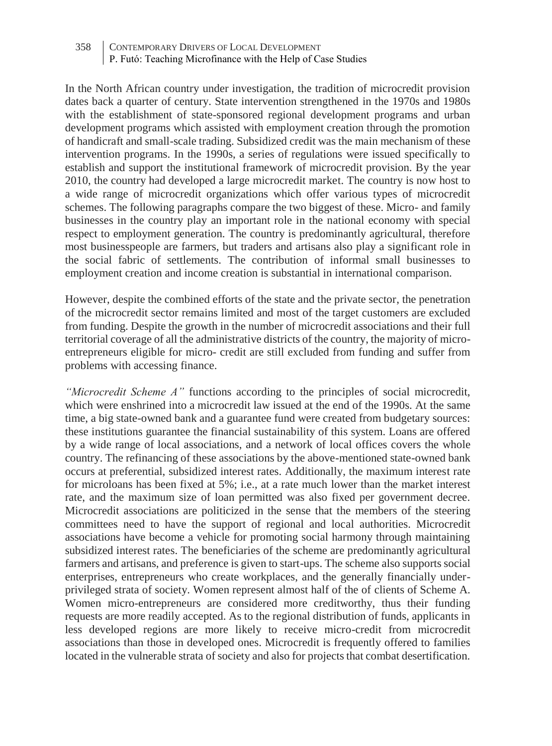#### 358 CONTEMPORARY DRIVERS OF LOCAL DEVELOPMENT P. Futó: Teaching Microfinance with the Help of Case Studies

In the North African country under investigation, the tradition of microcredit provision dates back a quarter of century. State intervention strengthened in the 1970s and 1980s with the establishment of state-sponsored regional development programs and urban development programs which assisted with employment creation through the promotion of handicraft and small-scale trading. Subsidized credit was the main mechanism of these intervention programs. In the 1990s, a series of regulations were issued specifically to establish and support the institutional framework of microcredit provision. By the year 2010, the country had developed a large microcredit market. The country is now host to a wide range of microcredit organizations which offer various types of microcredit schemes. The following paragraphs compare the two biggest of these. Micro- and family businesses in the country play an important role in the national economy with special respect to employment generation. The country is predominantly agricultural, therefore most businesspeople are farmers, but traders and artisans also play a significant role in the social fabric of settlements. The contribution of informal small businesses to employment creation and income creation is substantial in international comparison.

However, despite the combined efforts of the state and the private sector, the penetration of the microcredit sector remains limited and most of the target customers are excluded from funding. Despite the growth in the number of microcredit associations and their full territorial coverage of all the administrative districts of the country, the majority of microentrepreneurs eligible for micro- credit are still excluded from funding and suffer from problems with accessing finance.

*"Microcredit Scheme A"* functions according to the principles of social microcredit, which were enshrined into a microcredit law issued at the end of the 1990s. At the same time, a big state-owned bank and a guarantee fund were created from budgetary sources: these institutions guarantee the financial sustainability of this system. Loans are offered by a wide range of local associations, and a network of local offices covers the whole country. The refinancing of these associations by the above-mentioned state-owned bank occurs at preferential, subsidized interest rates. Additionally, the maximum interest rate for microloans has been fixed at 5%; i.e., at a rate much lower than the market interest rate, and the maximum size of loan permitted was also fixed per government decree. Microcredit associations are politicized in the sense that the members of the steering committees need to have the support of regional and local authorities. Microcredit associations have become a vehicle for promoting social harmony through maintaining subsidized interest rates. The beneficiaries of the scheme are predominantly agricultural farmers and artisans, and preference is given to start-ups. The scheme also supports social enterprises, entrepreneurs who create workplaces, and the generally financially underprivileged strata of society. Women represent almost half of the of clients of Scheme A. Women micro-entrepreneurs are considered more creditworthy, thus their funding requests are more readily accepted. As to the regional distribution of funds, applicants in less developed regions are more likely to receive micro-credit from microcredit associations than those in developed ones. Microcredit is frequently offered to families located in the vulnerable strata of society and also for projects that combat desertification.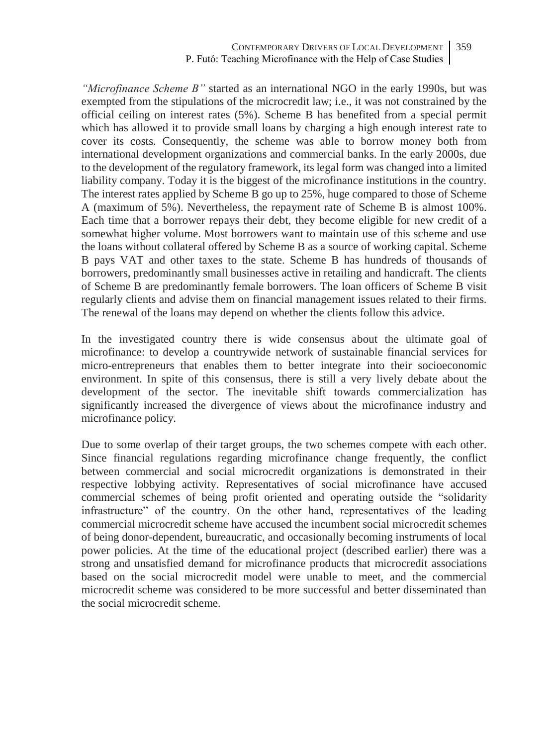*"Microfinance Scheme B"* started as an international NGO in the early 1990s, but was exempted from the stipulations of the microcredit law; i.e., it was not constrained by the official ceiling on interest rates (5%). Scheme B has benefited from a special permit which has allowed it to provide small loans by charging a high enough interest rate to cover its costs. Consequently, the scheme was able to borrow money both from international development organizations and commercial banks. In the early 2000s, due to the development of the regulatory framework, its legal form was changed into a limited liability company. Today it is the biggest of the microfinance institutions in the country. The interest rates applied by Scheme B go up to 25%, huge compared to those of Scheme A (maximum of 5%). Nevertheless, the repayment rate of Scheme B is almost 100%. Each time that a borrower repays their debt, they become eligible for new credit of a somewhat higher volume. Most borrowers want to maintain use of this scheme and use the loans without collateral offered by Scheme B as a source of working capital. Scheme B pays VAT and other taxes to the state. Scheme B has hundreds of thousands of borrowers, predominantly small businesses active in retailing and handicraft. The clients of Scheme B are predominantly female borrowers. The loan officers of Scheme B visit regularly clients and advise them on financial management issues related to their firms. The renewal of the loans may depend on whether the clients follow this advice.

In the investigated country there is wide consensus about the ultimate goal of microfinance: to develop a countrywide network of sustainable financial services for micro-entrepreneurs that enables them to better integrate into their socioeconomic environment. In spite of this consensus, there is still a very lively debate about the development of the sector. The inevitable shift towards commercialization has significantly increased the divergence of views about the microfinance industry and microfinance policy.

Due to some overlap of their target groups, the two schemes compete with each other. Since financial regulations regarding microfinance change frequently, the conflict between commercial and social microcredit organizations is demonstrated in their respective lobbying activity. Representatives of social microfinance have accused commercial schemes of being profit oriented and operating outside the "solidarity infrastructure" of the country. On the other hand, representatives of the leading commercial microcredit scheme have accused the incumbent social microcredit schemes of being donor-dependent, bureaucratic, and occasionally becoming instruments of local power policies. At the time of the educational project (described earlier) there was a strong and unsatisfied demand for microfinance products that microcredit associations based on the social microcredit model were unable to meet, and the commercial microcredit scheme was considered to be more successful and better disseminated than the social microcredit scheme.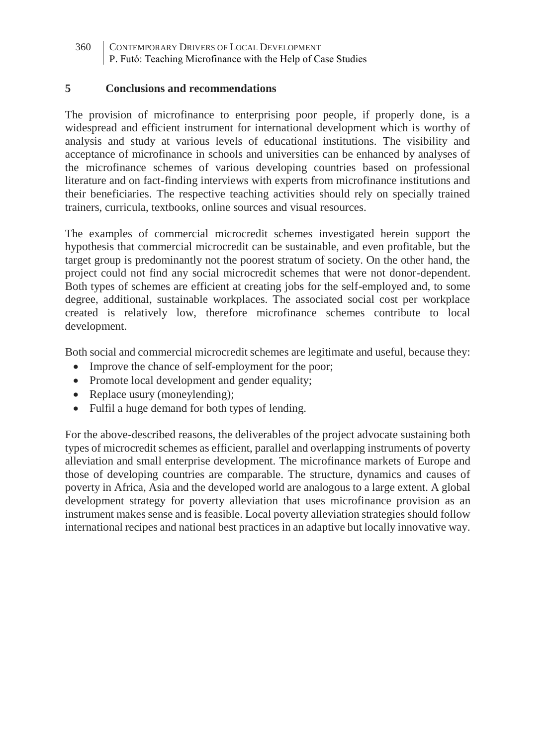360 CONTEMPORARY DRIVERS OF LOCAL DEVELOPMENT P. Futó: Teaching Microfinance with the Help of Case Studies

#### **5 Conclusions and recommendations**

The provision of microfinance to enterprising poor people, if properly done, is a widespread and efficient instrument for international development which is worthy of analysis and study at various levels of educational institutions. The visibility and acceptance of microfinance in schools and universities can be enhanced by analyses of the microfinance schemes of various developing countries based on professional literature and on fact-finding interviews with experts from microfinance institutions and their beneficiaries. The respective teaching activities should rely on specially trained trainers, curricula, textbooks, online sources and visual resources.

The examples of commercial microcredit schemes investigated herein support the hypothesis that commercial microcredit can be sustainable, and even profitable, but the target group is predominantly not the poorest stratum of society. On the other hand, the project could not find any social microcredit schemes that were not donor-dependent. Both types of schemes are efficient at creating jobs for the self-employed and, to some degree, additional, sustainable workplaces. The associated social cost per workplace created is relatively low, therefore microfinance schemes contribute to local development.

Both social and commercial microcredit schemes are legitimate and useful, because they:

- Improve the chance of self-employment for the poor;
- Promote local development and gender equality;
- Replace usury (moneylending);
- Fulfil a huge demand for both types of lending.

For the above-described reasons, the deliverables of the project advocate sustaining both types of microcredit schemes as efficient, parallel and overlapping instruments of poverty alleviation and small enterprise development. The microfinance markets of Europe and those of developing countries are comparable. The structure, dynamics and causes of poverty in Africa, Asia and the developed world are analogous to a large extent. A global development strategy for poverty alleviation that uses microfinance provision as an instrument makes sense and is feasible. Local poverty alleviation strategies should follow international recipes and national best practices in an adaptive but locally innovative way.